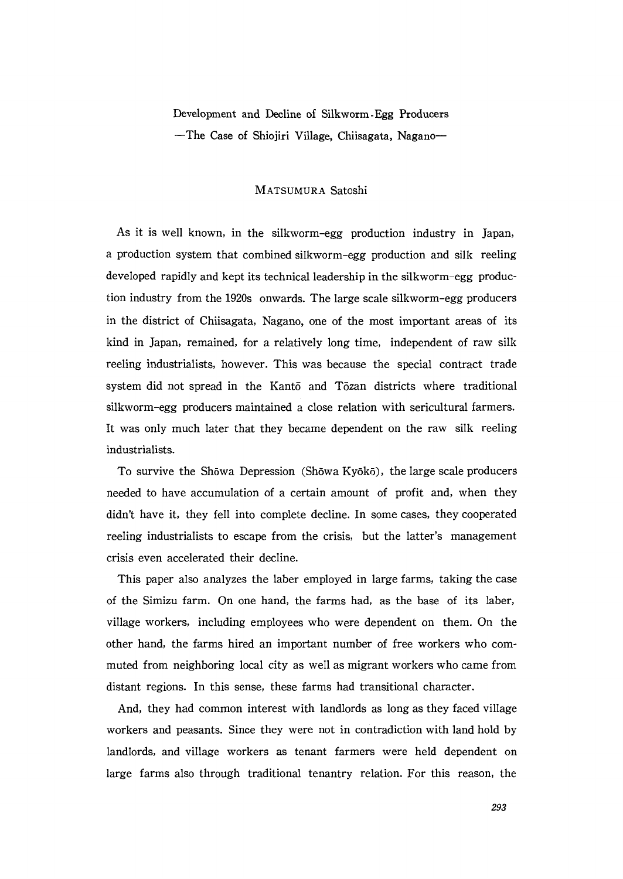Development and Decline of Silkworm-Egg Producers The Case of Shiojiri Village, Chiisagata, Nagano一

## MATsuMuRA Satoshi

 As it is well known, in the silkworm-egg production industry in Japan, a production system that combined silkworm-egg production and silk reeling developed rapidly and kept its technical leadership in the silkworm-egg production industry from the 1920s onwards. The large scale silkworm-egg producers in the district of Chiisagata, Nagano, one of the most important areas of its kind in Japan, remained, for a relatively long time, independent of raw silk reeling industrialists, however. This was because the special contract trade system did not spread in the Kanto and Tozan districts where traditional silkworm-egg producers maintained a close relation with sericultural farmers. It was only much later that they became dependent on the raw silk reeling industrialists.

To survive the Shōwa Depression (Shōwa Kyōkō), the large scale producers needed to have accumulation of a certain amount of profit and, when they didn't have it, they fell into complete decline. In some cases, they cooperated reeling industrialists to escape from the crisis, but the latter's management crisis even accelerated their decline.

 This paper also analyzes the laber employed in large farms, taking the case of the Simizu farm. On one hand, the farms had, as the base of its laber, village workers, including employees who were deperldent on them. On the other hand, the farms hired an important number of free workers who com muted from neighboring local city as well as migrant workers who came from distant regions. In this sense, these farms had transitional character.

 And, they had common interest with landlords as long as they faced village workers and peasants. Since they were not in contradiction with land hold by landlords, and village workers as tenant farmers were held dependent on large farms also through traditional tenantry relation. For this reason, the